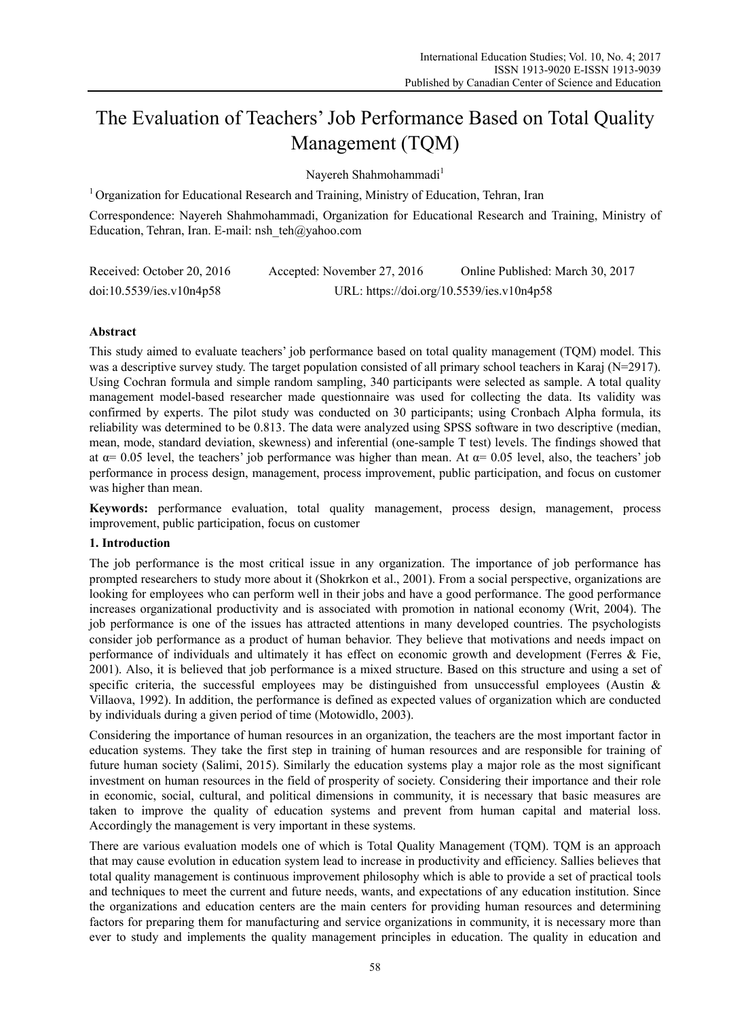# The Evaluation of Teachers' Job Performance Based on Total Quality Management (TQM)

Nayereh Shahmohammadi<sup>1</sup>

<sup>1</sup> Organization for Educational Research and Training, Ministry of Education, Tehran, Iran

Correspondence: Nayereh Shahmohammadi, Organization for Educational Research and Training, Ministry of Education, Tehran, Iran. E-mail: nsh\_teh@yahoo.com

| Received: October 20, 2016 | Accepted: November 27, 2016 | Online Published: March 30, 2017          |
|----------------------------|-----------------------------|-------------------------------------------|
| doi:10.5539/ies.v10n4p58   |                             | URL: https://doi.org/10.5539/ies.v10n4p58 |

# **Abstract**

This study aimed to evaluate teachers' job performance based on total quality management (TQM) model. This was a descriptive survey study. The target population consisted of all primary school teachers in Karaj (N=2917). Using Cochran formula and simple random sampling, 340 participants were selected as sample. A total quality management model-based researcher made questionnaire was used for collecting the data. Its validity was confirmed by experts. The pilot study was conducted on 30 participants; using Cronbach Alpha formula, its reliability was determined to be 0.813. The data were analyzed using SPSS software in two descriptive (median, mean, mode, standard deviation, skewness) and inferential (one-sample T test) levels. The findings showed that at  $\alpha$ = 0.05 level, the teachers' job performance was higher than mean. At  $\alpha$ = 0.05 level, also, the teachers' job performance in process design, management, process improvement, public participation, and focus on customer was higher than mean.

**Keywords:** performance evaluation, total quality management, process design, management, process improvement, public participation, focus on customer

## **1. Introduction**

The job performance is the most critical issue in any organization. The importance of job performance has prompted researchers to study more about it (Shokrkon et al., 2001). From a social perspective, organizations are looking for employees who can perform well in their jobs and have a good performance. The good performance increases organizational productivity and is associated with promotion in national economy (Writ, 2004). The job performance is one of the issues has attracted attentions in many developed countries. The psychologists consider job performance as a product of human behavior. They believe that motivations and needs impact on performance of individuals and ultimately it has effect on economic growth and development (Ferres & Fie, 2001). Also, it is believed that job performance is a mixed structure. Based on this structure and using a set of specific criteria, the successful employees may be distinguished from unsuccessful employees (Austin & Villaova, 1992). In addition, the performance is defined as expected values of organization which are conducted by individuals during a given period of time (Motowidlo, 2003).

Considering the importance of human resources in an organization, the teachers are the most important factor in education systems. They take the first step in training of human resources and are responsible for training of future human society (Salimi, 2015). Similarly the education systems play a major role as the most significant investment on human resources in the field of prosperity of society. Considering their importance and their role in economic, social, cultural, and political dimensions in community, it is necessary that basic measures are taken to improve the quality of education systems and prevent from human capital and material loss. Accordingly the management is very important in these systems.

There are various evaluation models one of which is Total Quality Management (TQM). TQM is an approach that may cause evolution in education system lead to increase in productivity and efficiency. Sallies believes that total quality management is continuous improvement philosophy which is able to provide a set of practical tools and techniques to meet the current and future needs, wants, and expectations of any education institution. Since the organizations and education centers are the main centers for providing human resources and determining factors for preparing them for manufacturing and service organizations in community, it is necessary more than ever to study and implements the quality management principles in education. The quality in education and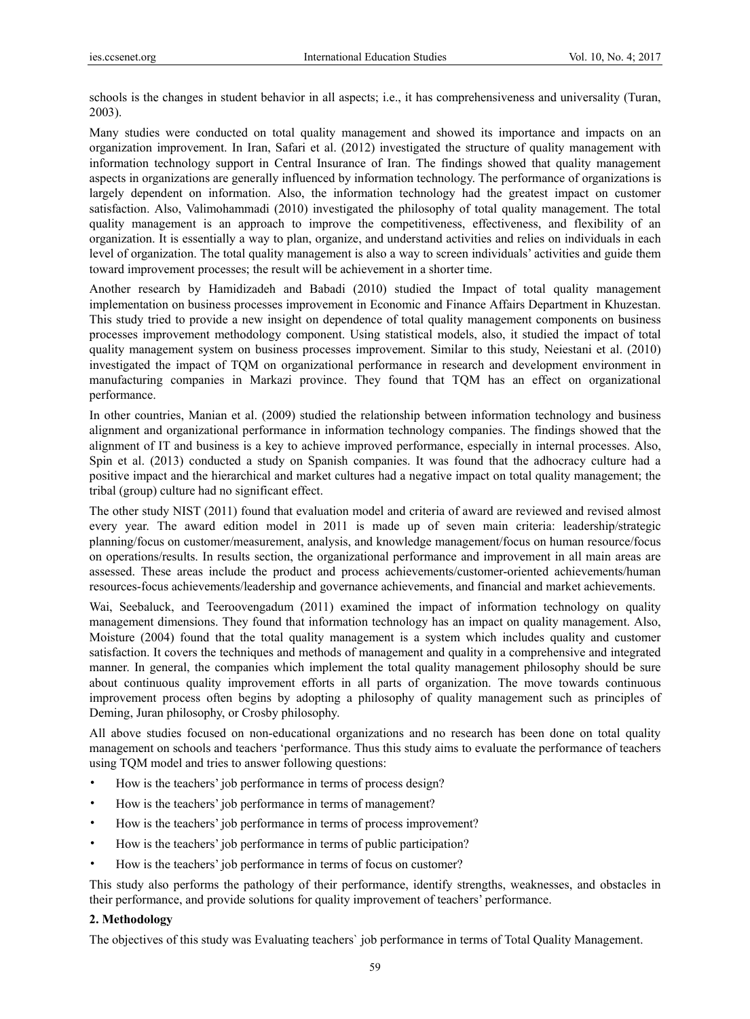schools is the changes in student behavior in all aspects; i.e., it has comprehensiveness and universality (Turan, 2003).

Many studies were conducted on total quality management and showed its importance and impacts on an organization improvement. In Iran, Safari et al. (2012) investigated the structure of quality management with information technology support in Central Insurance of Iran. The findings showed that quality management aspects in organizations are generally influenced by information technology. The performance of organizations is largely dependent on information. Also, the information technology had the greatest impact on customer satisfaction. Also, Valimohammadi (2010) investigated the philosophy of total quality management. The total quality management is an approach to improve the competitiveness, effectiveness, and flexibility of an organization. It is essentially a way to plan, organize, and understand activities and relies on individuals in each level of organization. The total quality management is also a way to screen individuals' activities and guide them toward improvement processes; the result will be achievement in a shorter time.

Another research by Hamidizadeh and Babadi (2010) studied the Impact of total quality management implementation on business processes improvement in Economic and Finance Affairs Department in Khuzestan. This study tried to provide a new insight on dependence of total quality management components on business processes improvement methodology component. Using statistical models, also, it studied the impact of total quality management system on business processes improvement. Similar to this study, Neiestani et al. (2010) investigated the impact of TQM on organizational performance in research and development environment in manufacturing companies in Markazi province. They found that TQM has an effect on organizational performance.

In other countries, Manian et al. (2009) studied the relationship between information technology and business alignment and organizational performance in information technology companies. The findings showed that the alignment of IT and business is a key to achieve improved performance, especially in internal processes. Also, Spin et al. (2013) conducted a study on Spanish companies. It was found that the adhocracy culture had a positive impact and the hierarchical and market cultures had a negative impact on total quality management; the tribal (group) culture had no significant effect.

The other study NIST (2011) found that evaluation model and criteria of award are reviewed and revised almost every year. The award edition model in 2011 is made up of seven main criteria: leadership/strategic planning/focus on customer/measurement, analysis, and knowledge management/focus on human resource/focus on operations/results. In results section, the organizational performance and improvement in all main areas are assessed. These areas include the product and process achievements/customer-oriented achievements/human resources-focus achievements/leadership and governance achievements, and financial and market achievements.

Wai, Seebaluck, and Teeroovengadum (2011) examined the impact of information technology on quality management dimensions. They found that information technology has an impact on quality management. Also, Moisture (2004) found that the total quality management is a system which includes quality and customer satisfaction. It covers the techniques and methods of management and quality in a comprehensive and integrated manner. In general, the companies which implement the total quality management philosophy should be sure about continuous quality improvement efforts in all parts of organization. The move towards continuous improvement process often begins by adopting a philosophy of quality management such as principles of Deming, Juran philosophy, or Crosby philosophy.

All above studies focused on non-educational organizations and no research has been done on total quality management on schools and teachers 'performance. Thus this study aims to evaluate the performance of teachers using TQM model and tries to answer following questions:

- How is the teachers' job performance in terms of process design?
- How is the teachers' job performance in terms of management?
- How is the teachers' job performance in terms of process improvement?
- How is the teachers' job performance in terms of public participation?
- How is the teachers' job performance in terms of focus on customer?

This study also performs the pathology of their performance, identify strengths, weaknesses, and obstacles in their performance, and provide solutions for quality improvement of teachers' performance.

## **2. Methodology**

The objectives of this study was Evaluating teachers` job performance in terms of Total Quality Management.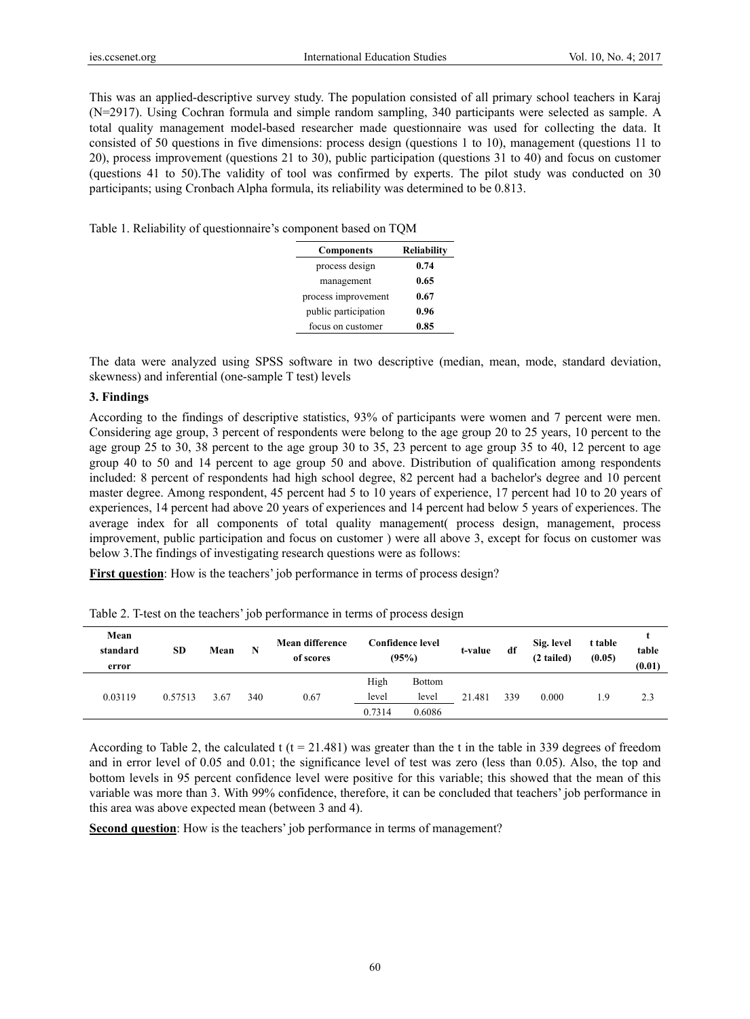This was an applied-descriptive survey study. The population consisted of all primary school teachers in Karaj (N=2917). Using Cochran formula and simple random sampling, 340 participants were selected as sample. A total quality management model-based researcher made questionnaire was used for collecting the data. It consisted of 50 questions in five dimensions: process design (questions 1 to 10), management (questions 11 to 20), process improvement (questions 21 to 30), public participation (questions 31 to 40) and focus on customer (questions 41 to 50).The validity of tool was confirmed by experts. The pilot study was conducted on 30 participants; using Cronbach Alpha formula, its reliability was determined to be 0.813.

Table 1. Reliability of questionnaire's component based on TQM

| Components           | <b>Reliability</b> |
|----------------------|--------------------|
| process design       | 0.74               |
| management           | 0.65               |
| process improvement  | 0.67               |
| public participation | 0.96               |
| focus on customer    | 0.85               |

The data were analyzed using SPSS software in two descriptive (median, mean, mode, standard deviation, skewness) and inferential (one-sample T test) levels

## **3. Findings**

According to the findings of descriptive statistics, 93% of participants were women and 7 percent were men. Considering age group, 3 percent of respondents were belong to the age group 20 to 25 years, 10 percent to the age group 25 to 30, 38 percent to the age group 30 to 35, 23 percent to age group 35 to 40, 12 percent to age group 40 to 50 and 14 percent to age group 50 and above. Distribution of qualification among respondents included: 8 percent of respondents had high school degree, 82 percent had a bachelor's degree and 10 percent master degree. Among respondent, 45 percent had 5 to 10 years of experience, 17 percent had 10 to 20 years of experiences, 14 percent had above 20 years of experiences and 14 percent had below 5 years of experiences. The average index for all components of total quality management( process design, management, process improvement, public participation and focus on customer ) were all above 3, except for focus on customer was below 3.The findings of investigating research questions were as follows:

**First question**: How is the teachers' job performance in terms of process design?

| High<br><b>Bottom</b><br>0.03119<br>0.57513<br>0.67<br>339<br>0.000<br>340<br>2.3<br>21.481<br>3.67<br>1.9<br>level<br>level | Mean<br>standard<br>error | SD | Mean | N | <b>Mean difference</b><br>of scores | Confidence level<br>(95%) |        | t-value | df | Sig. level<br>(2 tailed) | t table<br>(0.05) | table<br>(0.01) |
|------------------------------------------------------------------------------------------------------------------------------|---------------------------|----|------|---|-------------------------------------|---------------------------|--------|---------|----|--------------------------|-------------------|-----------------|
|                                                                                                                              |                           |    |      |   |                                     | 0.7314                    | 0.6086 |         |    |                          |                   |                 |

Table 2. T-test on the teachers' job performance in terms of process design

According to Table 2, the calculated t  $(t = 21.481)$  was greater than the t in the table in 339 degrees of freedom and in error level of 0.05 and 0.01; the significance level of test was zero (less than 0.05). Also, the top and bottom levels in 95 percent confidence level were positive for this variable; this showed that the mean of this variable was more than 3. With 99% confidence, therefore, it can be concluded that teachers' job performance in this area was above expected mean (between 3 and 4).

**Second question**: How is the teachers' job performance in terms of management?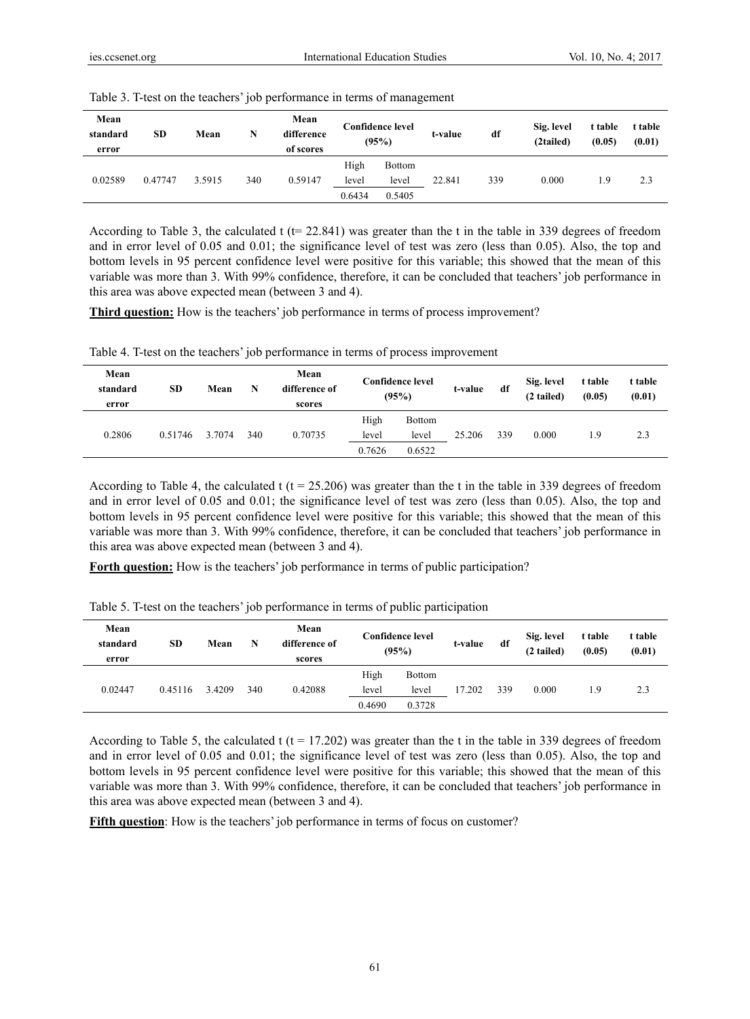| Mean<br>standard<br>error | <b>SD</b> | Mean   | N   | Mean<br>difference<br>of scores | Confidence level<br>(95%) |                        | t-value | df  | Sig. level<br>(2tailed) | t table<br>(0.05) | t table<br>(0.01) |
|---------------------------|-----------|--------|-----|---------------------------------|---------------------------|------------------------|---------|-----|-------------------------|-------------------|-------------------|
| 0.02589                   | 0.47747   | 3.5915 | 340 | 0.59147                         | High<br>level             | <b>Bottom</b><br>level | 22.841  | 339 | 0.000                   | 1.9               | 2.3               |
|                           |           |        |     |                                 | 0.6434                    | 0.5405                 |         |     |                         |                   |                   |

| Table 3. T-test on the teachers' job performance in terms of management |  |  |
|-------------------------------------------------------------------------|--|--|
|                                                                         |  |  |

According to Table 3, the calculated t ( $t= 22.841$ ) was greater than the t in the table in 339 degrees of freedom and in error level of 0.05 and 0.01; the significance level of test was zero (less than 0.05). Also, the top and bottom levels in 95 percent confidence level were positive for this variable; this showed that the mean of this variable was more than 3. With 99% confidence, therefore, it can be concluded that teachers' job performance in this area was above expected mean (between 3 and 4).

**Third question:** How is the teachers' job performance in terms of process improvement?

| Mean<br>standard<br>error | <b>SD</b> | Mean   | N   | Mean<br>difference of<br>scores | Confidence level<br>(95%) |                        | t-value | df  | Sig. level<br>(2 tailed) | t table<br>(0.05) | t table<br>(0.01) |
|---------------------------|-----------|--------|-----|---------------------------------|---------------------------|------------------------|---------|-----|--------------------------|-------------------|-------------------|
| 0.2806                    | 0.51746   | 3.7074 | 340 | 0.70735                         | High<br>level             | <b>Bottom</b><br>level | 25.206  | 339 | 0.000                    | 1.9               | 2.3               |
|                           |           |        |     |                                 | 0.7626                    | 0.6522                 |         |     |                          |                   |                   |

According to Table 4, the calculated t ( $t = 25.206$ ) was greater than the t in the table in 339 degrees of freedom and in error level of 0.05 and 0.01; the significance level of test was zero (less than 0.05). Also, the top and bottom levels in 95 percent confidence level were positive for this variable; this showed that the mean of this variable was more than 3. With 99% confidence, therefore, it can be concluded that teachers' job performance in this area was above expected mean (between 3 and 4).

**Forth question:** How is the teachers' job performance in terms of public participation?

| Table 5. T-test on the teachers' job performance in terms of public participation |
|-----------------------------------------------------------------------------------|
|-----------------------------------------------------------------------------------|

| Mean<br>standard<br>error | <b>SD</b> | Mean   | N   | Mean<br>difference of<br>scores | Confidence level<br>(95%) |                        | t-value | df  | Sig. level<br>(2 tailed) | t table<br>(0.05) | t table<br>(0.01) |
|---------------------------|-----------|--------|-----|---------------------------------|---------------------------|------------------------|---------|-----|--------------------------|-------------------|-------------------|
| 0.02447                   | 0.45116   | 3.4209 | 340 | 0.42088                         | High<br>level             | <b>Bottom</b><br>level | 17.202  | 339 | 0.000                    | 1.9               | 2.3               |
|                           |           |        |     |                                 | 0.4690                    | 0.3728                 |         |     |                          |                   |                   |

According to Table 5, the calculated t ( $t = 17.202$ ) was greater than the t in the table in 339 degrees of freedom and in error level of 0.05 and 0.01; the significance level of test was zero (less than 0.05). Also, the top and bottom levels in 95 percent confidence level were positive for this variable; this showed that the mean of this variable was more than 3. With 99% confidence, therefore, it can be concluded that teachers' job performance in this area was above expected mean (between 3 and 4).

**Fifth question**: How is the teachers' job performance in terms of focus on customer?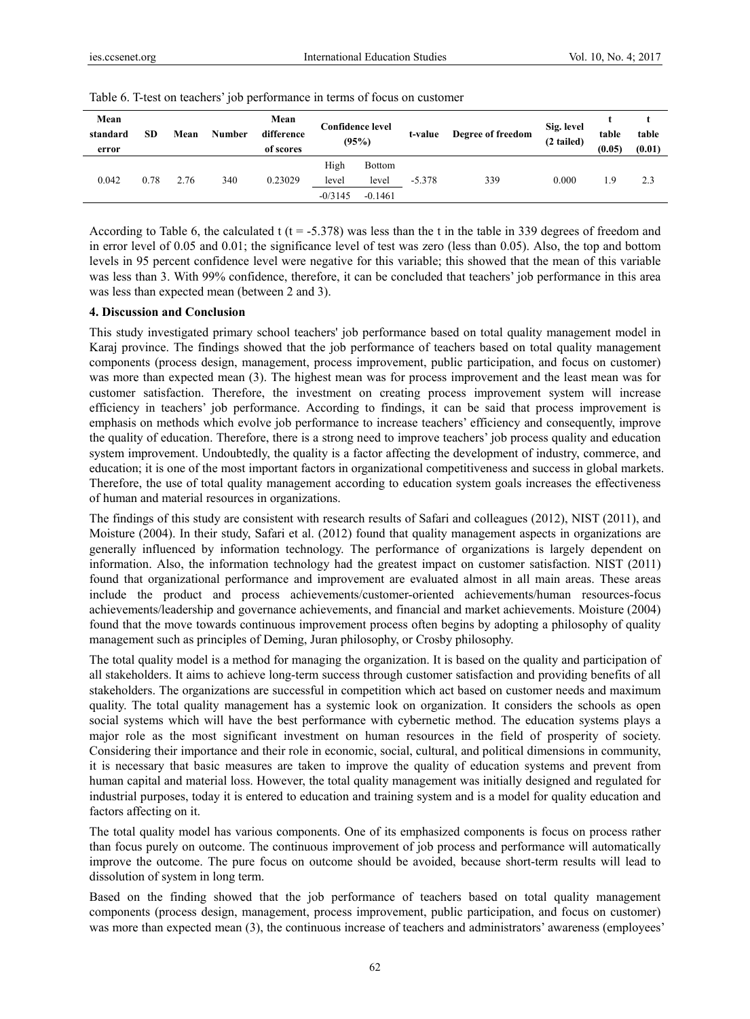| Mean<br>standard<br>error | SD   | Mean | <b>Number</b> | Mean<br>difference<br>of scores | Confidence level<br>(95%)  |                                     | t-value  | Degree of freedom | Sig. level<br>(2 tailed) | table<br>(0.05) | table<br>(0.01) |
|---------------------------|------|------|---------------|---------------------------------|----------------------------|-------------------------------------|----------|-------------------|--------------------------|-----------------|-----------------|
| 0.042                     | 0.78 | 2.76 | 340           | 0.23029                         | High<br>level<br>$-0/3145$ | <b>Bottom</b><br>level<br>$-0.1461$ | $-5.378$ | 339               | 0.000                    | 1.9             | 2.3             |

#### Table 6. T-test on teachers' job performance in terms of focus on customer

According to Table 6, the calculated t  $(t = -5.378)$  was less than the t in the table in 339 degrees of freedom and in error level of 0.05 and 0.01; the significance level of test was zero (less than 0.05). Also, the top and bottom levels in 95 percent confidence level were negative for this variable; this showed that the mean of this variable was less than 3. With 99% confidence, therefore, it can be concluded that teachers' job performance in this area was less than expected mean (between 2 and 3).

## **4. Discussion and Conclusion**

This study investigated primary school teachers' job performance based on total quality management model in Karaj province. The findings showed that the job performance of teachers based on total quality management components (process design, management, process improvement, public participation, and focus on customer) was more than expected mean (3). The highest mean was for process improvement and the least mean was for customer satisfaction. Therefore, the investment on creating process improvement system will increase efficiency in teachers' job performance. According to findings, it can be said that process improvement is emphasis on methods which evolve job performance to increase teachers' efficiency and consequently, improve the quality of education. Therefore, there is a strong need to improve teachers' job process quality and education system improvement. Undoubtedly, the quality is a factor affecting the development of industry, commerce, and education; it is one of the most important factors in organizational competitiveness and success in global markets. Therefore, the use of total quality management according to education system goals increases the effectiveness of human and material resources in organizations.

The findings of this study are consistent with research results of Safari and colleagues (2012), NIST (2011), and Moisture (2004). In their study, Safari et al. (2012) found that quality management aspects in organizations are generally influenced by information technology. The performance of organizations is largely dependent on information. Also, the information technology had the greatest impact on customer satisfaction. NIST (2011) found that organizational performance and improvement are evaluated almost in all main areas. These areas include the product and process achievements/customer-oriented achievements/human resources-focus achievements/leadership and governance achievements, and financial and market achievements. Moisture (2004) found that the move towards continuous improvement process often begins by adopting a philosophy of quality management such as principles of Deming, Juran philosophy, or Crosby philosophy.

The total quality model is a method for managing the organization. It is based on the quality and participation of all stakeholders. It aims to achieve long-term success through customer satisfaction and providing benefits of all stakeholders. The organizations are successful in competition which act based on customer needs and maximum quality. The total quality management has a systemic look on organization. It considers the schools as open social systems which will have the best performance with cybernetic method. The education systems plays a major role as the most significant investment on human resources in the field of prosperity of society. Considering their importance and their role in economic, social, cultural, and political dimensions in community, it is necessary that basic measures are taken to improve the quality of education systems and prevent from human capital and material loss. However, the total quality management was initially designed and regulated for industrial purposes, today it is entered to education and training system and is a model for quality education and factors affecting on it.

The total quality model has various components. One of its emphasized components is focus on process rather than focus purely on outcome. The continuous improvement of job process and performance will automatically improve the outcome. The pure focus on outcome should be avoided, because short-term results will lead to dissolution of system in long term.

Based on the finding showed that the job performance of teachers based on total quality management components (process design, management, process improvement, public participation, and focus on customer) was more than expected mean (3), the continuous increase of teachers and administrators' awareness (employees'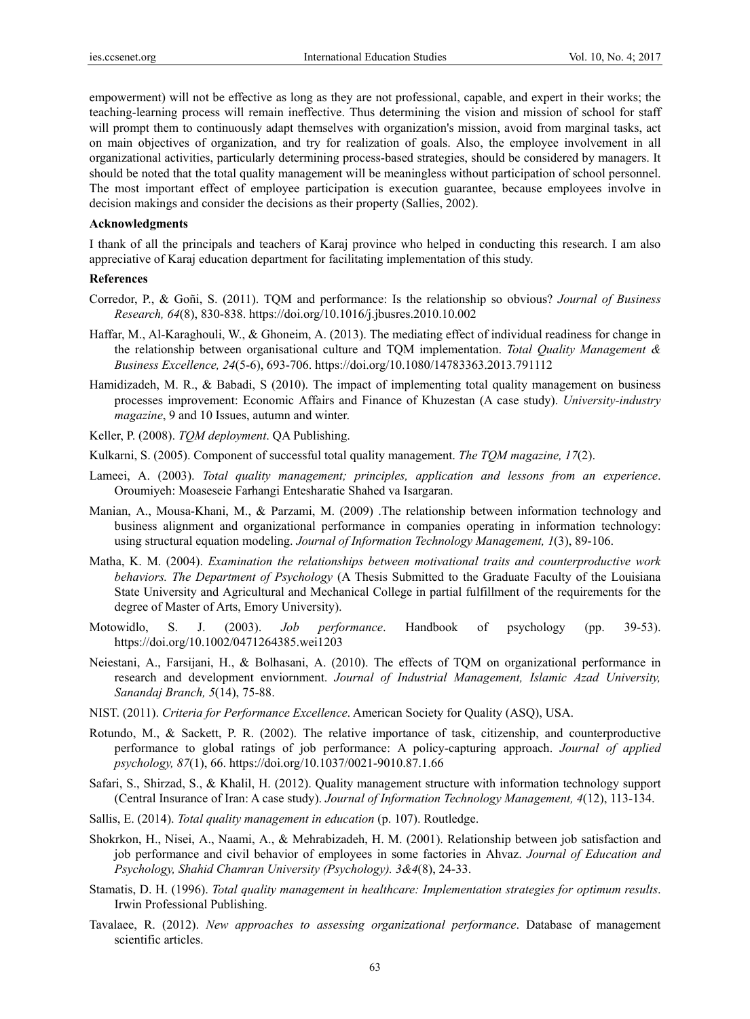empowerment) will not be effective as long as they are not professional, capable, and expert in their works; the teaching-learning process will remain ineffective. Thus determining the vision and mission of school for staff will prompt them to continuously adapt themselves with organization's mission, avoid from marginal tasks, act on main objectives of organization, and try for realization of goals. Also, the employee involvement in all organizational activities, particularly determining process-based strategies, should be considered by managers. It should be noted that the total quality management will be meaningless without participation of school personnel. The most important effect of employee participation is execution guarantee, because employees involve in decision makings and consider the decisions as their property (Sallies, 2002).

## **Acknowledgments**

I thank of all the principals and teachers of Karaj province who helped in conducting this research. I am also appreciative of Karaj education department for facilitating implementation of this study.

## **References**

- Corredor, P., & Goñi, S. (2011). TQM and performance: Is the relationship so obvious? *Journal of Business Research, 64*(8), 830-838. https://doi.org/10.1016/j.jbusres.2010.10.002
- Haffar, M., Al-Karaghouli, W., & Ghoneim, A. (2013). The mediating effect of individual readiness for change in the relationship between organisational culture and TQM implementation. *Total Quality Management & Business Excellence, 24*(5-6), 693-706. https://doi.org/10.1080/14783363.2013.791112
- Hamidizadeh, M. R., & Babadi, S (2010). The impact of implementing total quality management on business processes improvement: Economic Affairs and Finance of Khuzestan (A case study). *University-industry magazine*, 9 and 10 Issues, autumn and winter.
- Keller, P. (2008). *TQM deployment*. QA Publishing.
- Kulkarni, S. (2005). Component of successful total quality management. *The TQM magazine, 17*(2).
- Lameei, A. (2003). *Total quality management; principles, application and lessons from an experience*. Oroumiyeh: Moaseseie Farhangi Entesharatie Shahed va Isargaran.
- Manian, A., Mousa-Khani, M., & Parzami, M. (2009) .The relationship between information technology and business alignment and organizational performance in companies operating in information technology: using structural equation modeling. *Journal of Information Technology Management, 1*(3), 89-106.
- Matha, K. M. (2004). *Examination the relationships between motivational traits and counterproductive work behaviors. The Department of Psychology* (A Thesis Submitted to the Graduate Faculty of the Louisiana State University and Agricultural and Mechanical College in partial fulfillment of the requirements for the degree of Master of Arts, Emory University).
- Motowidlo, S. J. (2003). *Job performance*. Handbook of psychology (pp. 39-53). https://doi.org/10.1002/0471264385.wei1203
- Neiestani, A., Farsijani, H., & Bolhasani, A. (2010). The effects of TQM on organizational performance in research and development enviornment. *Journal of Industrial Management, Islamic Azad University, Sanandaj Branch, 5*(14), 75-88.
- NIST. (2011). *Criteria for Performance Excellence*. American Society for Quality (ASQ), USA.
- Rotundo, M., & Sackett, P. R. (2002). The relative importance of task, citizenship, and counterproductive performance to global ratings of job performance: A policy-capturing approach. *Journal of applied psychology, 87*(1), 66. https://doi.org/10.1037/0021-9010.87.1.66
- Safari, S., Shirzad, S., & Khalil, H. (2012). Quality management structure with information technology support (Central Insurance of Iran: A case study). *Journal of Information Technology Management, 4*(12), 113-134.
- Sallis, E. (2014). *Total quality management in education* (p. 107). Routledge.
- Shokrkon, H., Nisei, A., Naami, A., & Mehrabizadeh, H. M. (2001). Relationship between job satisfaction and job performance and civil behavior of employees in some factories in Ahvaz. *Journal of Education and Psychology, Shahid Chamran University (Psychology). 3&4*(8), 24-33.
- Stamatis, D. H. (1996). *Total quality management in healthcare: Implementation strategies for optimum results*. Irwin Professional Publishing.
- Tavalaee, R. (2012). *New approaches to assessing organizational performance*. Database of management scientific articles.